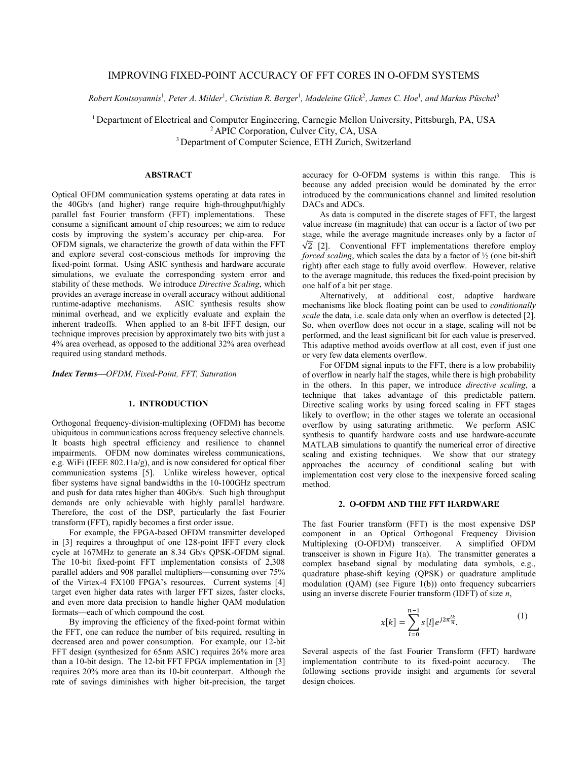# IMPROVING FIXED-POINT ACCURACY OF FFT CORES IN O-OFDM SYSTEMS

Robert Koutsoyannis<sup>1</sup>, Peter A. Milder<sup>1</sup>, Christian R. Berger<sup>1</sup>, Madeleine Glick<sup>2</sup>, James C. Hoe<sup>1</sup>, and Markus Püschel<sup>3</sup>

<sup>1</sup> Department of Electrical and Computer Engineering, Carnegie Mellon University, Pittsburgh, PA, USA <sup>2</sup> APIC Corporation, Culver City, CA, USA <sup>3</sup> Department of Computer Science, ETH Zurich, Switzerland

## **ABSTRACT**

Optical OFDM communication systems operating at data rates in the 40Gb/s (and higher) range require high-throughput/highly parallel fast Fourier transform (FFT) implementations. These consume a significant amount of chip resources; we aim to reduce costs by improving the system's accuracy per chip-area. For OFDM signals, we characterize the growth of data within the FFT and explore several cost-conscious methods for improving the fixed-point format. Using ASIC synthesis and hardware accurate simulations, we evaluate the corresponding system error and stability of these methods. We introduce *Directive Scaling*, which provides an average increase in overall accuracy without additional runtime-adaptive mechanisms. ASIC synthesis results show minimal overhead, and we explicitly evaluate and explain the inherent tradeoffs. When applied to an 8-bit IFFT design, our technique improves precision by approximately two bits with just a 4% area overhead, as opposed to the additional 32% area overhead required using standard methods.

*Index Terms—OFDM, Fixed-Point, FFT, Saturation*

## **1. INTRODUCTION**

Orthogonal frequency-division-multiplexing (OFDM) has become ubiquitous in communications across frequency selective channels. It boasts high spectral efficiency and resilience to channel impairments. OFDM now dominates wireless communications, e.g. WiFi (IEEE 802.11a/g), and is now considered for optical fiber communication systems [5]. Unlike wireless however, optical fiber systems have signal bandwidths in the 10-100GHz spectrum and push for data rates higher than 40Gb/s. Such high throughput demands are only achievable with highly parallel hardware. Therefore, the cost of the DSP, particularly the fast Fourier transform (FFT), rapidly becomes a first order issue.

For example, the FPGA-based OFDM transmitter developed in [3] requires a throughput of one 128-point IFFT every clock cycle at 167MHz to generate an 8.34 Gb/s QPSK-OFDM signal. The 10-bit fixed-point FFT implementation consists of 2,308 parallel adders and 908 parallel multipliers—consuming over 75% of the Virtex-4 FX100 FPGA's resources. Current systems [4] target even higher data rates with larger FFT sizes, faster clocks, and even more data precision to handle higher QAM modulation formats—each of which compound the cost.

By improving the efficiency of the fixed-point format within the FFT, one can reduce the number of bits required, resulting in decreased area and power consumption. For example, our 12-bit FFT design (synthesized for 65nm ASIC) requires 26% more area than a 10-bit design. The 12-bit FFT FPGA implementation in [3] requires 20% more area than its 10-bit counterpart. Although the rate of savings diminishes with higher bit-precision, the target

accuracy for O-OFDM systems is within this range. This is because any added precision would be dominated by the error introduced by the communications channel and limited resolution DACs and ADCs.

As data is computed in the discrete stages of FFT, the largest value increase (in magnitude) that can occur is a factor of two per stage, while the average magnitude increases only by a factor of  $\sqrt{2}$  [2]. Conventional FFT implementations therefore employ *forced scaling*, which scales the data by a factor of ½ (one bit-shift right) after each stage to fully avoid overflow. However, relative to the average magnitude, this reduces the fixed-point precision by one half of a bit per stage.

Alternatively, at additional cost, adaptive hardware mechanisms like block floating point can be used to *conditionally scale* the data, i.e. scale data only when an overflow is detected [2]. So, when overflow does not occur in a stage, scaling will not be performed, and the least significant bit for each value is preserved. This adaptive method avoids overflow at all cost, even if just one or very few data elements overflow.

For OFDM signal inputs to the FFT, there is a low probability of overflow in nearly half the stages, while there is high probability in the others. In this paper, we introduce *directive scaling*, a technique that takes advantage of this predictable pattern. Directive scaling works by using forced scaling in FFT stages likely to overflow; in the other stages we tolerate an occasional overflow by using saturating arithmetic. We perform ASIC synthesis to quantify hardware costs and use hardware-accurate MATLAB simulations to quantify the numerical error of directive scaling and existing techniques. We show that our strategy approaches the accuracy of conditional scaling but with implementation cost very close to the inexpensive forced scaling method.

### **2. O-OFDM AND THE FFT HARDWARE**

The fast Fourier transform (FFT) is the most expensive DSP component in an Optical Orthogonal Frequency Division Multiplexing (O-OFDM) transceiver. A simplified OFDM transceiver is shown in Figure 1(a). The transmitter generates a complex baseband signal by modulating data symbols, e.g., quadrature phase-shift keying (QPSK) or quadrature amplitude modulation (QAM) (see Figure 1(b)) onto frequency subcarriers using an inverse discrete Fourier transform (IDFT) of size *n*,

$$
x[k] = \sum_{l=0}^{n-1} s[l] e^{j2\pi \frac{lk}{n}}.
$$
 (1)

Several aspects of the fast Fourier Transform (FFT) hardware implementation contribute to its fixed-point accuracy. The following sections provide insight and arguments for several design choices.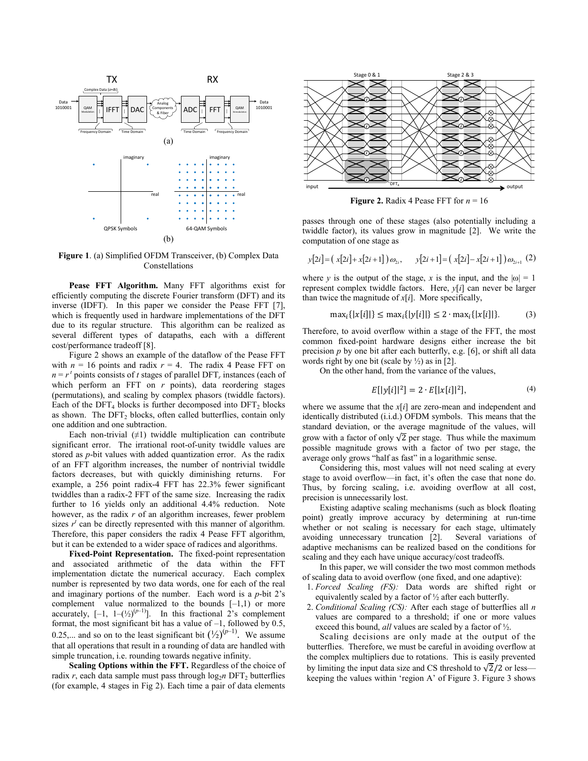

**Figure 1**. (a) Simplified OFDM Transceiver, (b) Complex Data Constellations

**Pease FFT Algorithm.** Many FFT algorithms exist for efficiently computing the discrete Fourier transform (DFT) and its inverse (IDFT). In this paper we consider the Pease FFT [7], which is frequently used in hardware implementations of the DFT due to its regular structure. This algorithm can be realized as several different types of datapaths, each with a different cost/performance tradeoff [8].

Figure 2 shows an example of the dataflow of the Pease FFT with  $n = 16$  points and radix  $r = 4$ . The radix 4 Pease FFT on  $n = r<sup>t</sup>$  points consists of *t* stages of parallel DFT<sub>*r*</sub> instances (each of which perform an FFT on *r* points), data reordering stages (permutations), and scaling by complex phasors (twiddle factors). Each of the DFT<sub>4</sub> blocks is further decomposed into DFT<sub>2</sub> blocks as shown. The  $DFT_2$  blocks, often called butterflies, contain only one addition and one subtraction.

Each non-trivial  $(±1)$  twiddle multiplication can contribute significant error. The irrational root-of-unity twiddle values are stored as *p*-bit values with added quantization error. As the radix of an FFT algorithm increases, the number of nontrivial twiddle factors decreases, but with quickly diminishing returns. For example, a 256 point radix-4 FFT has 22.3% fewer significant twiddles than a radix-2 FFT of the same size. Increasing the radix further to 16 yields only an additional 4.4% reduction. Note however, as the radix *r* of an algorithm increases, fewer problem sizes  $r^t$  can be directly represented with this manner of algorithm. Therefore, this paper considers the radix 4 Pease FFT algorithm, but it can be extended to a wider space of radices and algorithms.

**Fixed-Point Representation.** The fixed-point representation and associated arithmetic of the data within the FFT implementation dictate the numerical accuracy. Each complex number is represented by two data words, one for each of the real and imaginary portions of the number. Each word is a *p*-bit 2's complement value normalized to the bounds  $[-1,1)$  or more accurately,  $[-1, 1-(\frac{1}{2})^{(p-1)}]$ . In this fractional 2's complement format, the most significant bit has a value of  $-1$ , followed by 0.5, 0.25,... and so on to the least significant bit  $({}^{1}\mathsf{\angle}_{2})^{(p-1)}$ . We assume that all operations that result in a rounding of data are handled with simple truncation, i.e. rounding towards negative infinity.

**Scaling Options within the FFT.** Regardless of the choice of radix *r*, each data sample must pass through  $\log_2 n$  DFT<sub>2</sub> butterflies (for example, 4 stages in Fig 2). Each time a pair of data elements



**Figure 2.** Radix 4 Pease FFT for  $n = 16$ 

passes through one of these stages (also potentially including a twiddle factor), its values grow in magnitude [2]. We write the computation of one stage as

$$
y[2i] = (x[2i] + x[2i+1]) \omega_{2i}, \qquad y[2i+1] = (x[2i] - x[2i+1]) \omega_{2i+1} (2)
$$

where *y* is the output of the stage, *x* is the input, and the  $|\omega| = 1$ represent complex twiddle factors. Here, *y*[*i*] can never be larger than twice the magnitude of  $x[i]$ . More specifically,

$$
\max_{i} \{|x[i]|\} \le \max_{i} \{|y[i]|\} \le 2 \cdot \max_{i} \{|x[i]|\}. \tag{3}
$$

Therefore, to avoid overflow within a stage of the FFT, the most common fixed-point hardware designs either increase the bit precision *p* by one bit after each butterfly, e.g. [6], or shift all data words right by one bit (scale by  $\frac{1}{2}$ ) as in [2].

On the other hand, from the variance of the values,

$$
E[|y[i]|^2] = 2 \cdot E[|x[i]|^2], \tag{4}
$$

where we assume that the *x*[*i*] are zero-mean and independent and identically distributed (i.i.d.) OFDM symbols. This means that the standard deviation, or the average magnitude of the values, will grow with a factor of only  $\sqrt{2}$  per stage. Thus while the maximum possible magnitude grows with a factor of two per stage, the average only grows "half as fast" in a logarithmic sense.

Considering this, most values will not need scaling at every stage to avoid overflow—in fact, it's often the case that none do. Thus, by forcing scaling, i.e. avoiding overflow at all cost, precision is unnecessarily lost.

Existing adaptive scaling mechanisms (such as block floating point) greatly improve accuracy by determining at run-time whether or not scaling is necessary for each stage, ultimately avoiding unnecessary truncation [2]. Several variations of adaptive mechanisms can be realized based on the conditions for scaling and they each have unique accuracy/cost tradeoffs.

In this paper, we will consider the two most common methods of scaling data to avoid overflow (one fixed, and one adaptive):

- 1. *Forced Scaling (FS):* Data words are shifted right or equivalently scaled by a factor of ½ after each butterfly.
- 2. *Conditional Scaling (CS):* After each stage of butterflies all *n* values are compared to a threshold; if one or more values exceed this bound, *all* values are scaled by a factor of ½.

Scaling decisions are only made at the output of the butterflies. Therefore, we must be careful in avoiding overflow at the complex multipliers due to rotations. This is easily prevented by limiting the input data size and CS threshold to  $\sqrt{2}/2$  or less– keeping the values within 'region A' of Figure 3. Figure 3 shows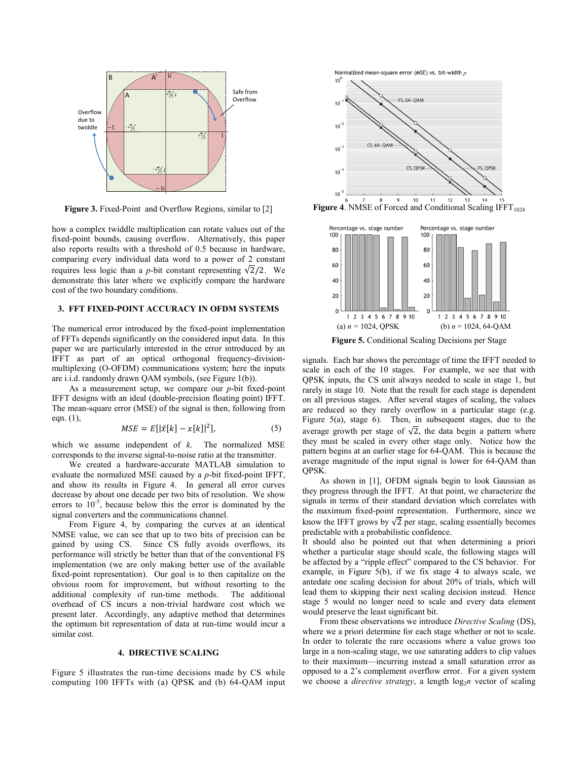

**Figure 3.** Fixed-Point and Overflow Regions, similar to [2]

how a complex twiddle multiplication can rotate values out of the fixed-point bounds, causing overflow. Alternatively, this paper also reports results with a threshold of 0.5 because in hardware, comparing every individual data word to a power of 2 constant requires less logic than a *p*-bit constant representing  $\sqrt{2}/2$ . We demonstrate this later where we explicitly compare the hardware cost of the two boundary conditions.

#### **3. FFT FIXED-POINT ACCURACY IN OFDM SYSTEMS**

The numerical error introduced by the fixed-point implementation of FFTs depends significantly on the considered input data. In this paper we are particularly interested in the error introduced by an IFFT as part of an optical orthogonal frequency-divisionmultiplexing (O-OFDM) communications system; here the inputs are i.i.d. randomly drawn QAM symbols, (see Figure 1(b)).

As a measurement setup, we compare our *p*-bit fixed-point IFFT designs with an ideal (double-precision floating point) IFFT. The mean-square error (MSE) of the signal is then, following from eqn. (1),

$$
MSE = E[|\tilde{x}[k] - x[k]|^2],
$$
 (5)

which we assume independent of *k*. The normalized MSE corresponds to the inverse signal-to-noise ratio at the transmitter.

We created a hardware-accurate MATLAB simulation to evaluate the normalized MSE caused by a *p*-bit fixed-point IFFT, and show its results in Figure 4. In general all error curves decrease by about one decade per two bits of resolution. We show errors to  $10^{-5}$ , because below this the error is dominated by the signal converters and the communications channel.

From Figure 4, by comparing the curves at an identical NMSE value, we can see that up to two bits of precision can be gained by using CS. Since CS fully avoids overflows, its performance will strictly be better than that of the conventional FS implementation (we are only making better use of the available fixed-point representation). Our goal is to then capitalize on the obvious room for improvement, but without resorting to the additional complexity of run-time methods. The additional overhead of CS incurs a non-trivial hardware cost which we present later. Accordingly, any adaptive method that determines the optimum bit representation of data at run-time would incur a similar cost.

## **4. DIRECTIVE SCALING**

Figure 5 illustrates the run-time decisions made by CS while computing 100 IFFTs with (a) QPSK and (b) 64-QAM input Normalized mean-square error (MSE) vs. bit-width n



**Figure 4.** NMSE of Forced and Conditional Scaling IFFT $_{1024}$ 



**Figure 5.** Conditional Scaling Decisions per Stage

signals. Each bar shows the percentage of time the IFFT needed to scale in each of the 10 stages. For example, we see that with QPSK inputs, the CS unit always needed to scale in stage 1, but rarely in stage 10. Note that the result for each stage is dependent on all previous stages. After several stages of scaling, the values are reduced so they rarely overflow in a particular stage (e.g. Figure 5(a), stage 6). Then, in subsequent stages, due to the average growth per stage of  $\sqrt{2}$ , the data begin a pattern where they must be scaled in every other stage only. Notice how the pattern begins at an earlier stage for 64-QAM. This is because the average magnitude of the input signal is lower for 64-QAM than QPSK.

As shown in [1], OFDM signals begin to look Gaussian as they progress through the IFFT. At that point, we characterize the signals in terms of their standard deviation which correlates with the maximum fixed-point representation. Furthermore, since we know the IFFT grows by  $\sqrt{2}$  per stage, scaling essentially becomes predictable with a probabilistic confidence.

It should also be pointed out that when determining a priori whether a particular stage should scale, the following stages will be affected by a "ripple effect" compared to the CS behavior. For example, in Figure 5(b), if we fix stage 4 to always scale, we antedate one scaling decision for about 20% of trials, which will lead them to skipping their next scaling decision instead. Hence stage 5 would no longer need to scale and every data element would preserve the least significant bit.

From these observations we introduce *Directive Scaling* (DS), where we a priori determine for each stage whether or not to scale. In order to tolerate the rare occasions where a value grows too large in a non-scaling stage, we use saturating adders to clip values to their maximum—incurring instead a small saturation error as opposed to a 2's complement overflow error. For a given system we choose a *directive strategy*, a length  $log_2 n$  vector of scaling